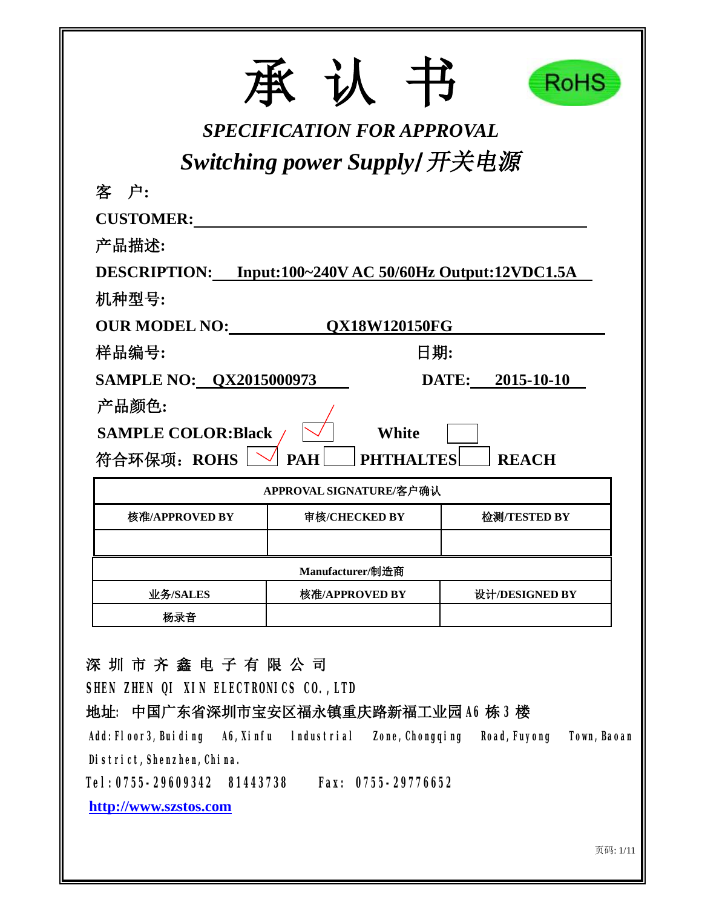|                                                         |                                   | RoHS                        |
|---------------------------------------------------------|-----------------------------------|-----------------------------|
|                                                         | <b>SPECIFICATION FOR APPROVAL</b> |                             |
| 客 户:                                                    | Switching power Supply/开关电源       |                             |
| <b>CUSTOMER:</b>                                        |                                   |                             |
| 产品描述:                                                   |                                   |                             |
| DESCRIPTION: Input:100~240V AC 50/60Hz Output:12VDC1.5A |                                   |                             |
| 机种型号:                                                   |                                   |                             |
| <b>OUR MODEL NO:</b>                                    | <b>OX18W120150FG</b>              |                             |
| 样品编号:                                                   |                                   | 日期:                         |
| <b>SAMPLE NO: QX2015000973</b>                          |                                   | DATE: 2015-10-10            |
| 产品颜色:                                                   |                                   |                             |
| <b>SAMPLE COLOR:Black</b>                               | White                             |                             |
| 符合环保项: ROHS                                             | <b>PAH</b>                        | <b>LTES</b><br><b>REACH</b> |
|                                                         | APPROVAL SIGNATURE/客户确认           |                             |
| 核准/APPROVED BY                                          | 审核/CHECKED BY                     | 检测/TESTED BY                |
|                                                         |                                   |                             |
|                                                         | Manufacturer/制造商                  |                             |
| 业务/SALES                                                | 核准/APPROVED BY                    | 设计/DESIGNED BY              |
| 杨录音                                                     |                                   |                             |

**深 圳 市 齐 鑫 电 子 有 限 公 司**

**SHEN ZHEN QI XIN ELECTRONICS CO.,LTD** 

**地址: 中国广东省深圳市宝安区福永镇重庆路新福工业园 A6 栋 3 楼** 

**Add:Floor3,Buiding A6,Xinfu lndustrial Zone,Chongqing Road,Fuyong Town,Baoan District,Shenzhen,China.** 

**Tel:0755-29609342 81443738 Fax: 0755-29776652** 

**<http://www.szstos.com>**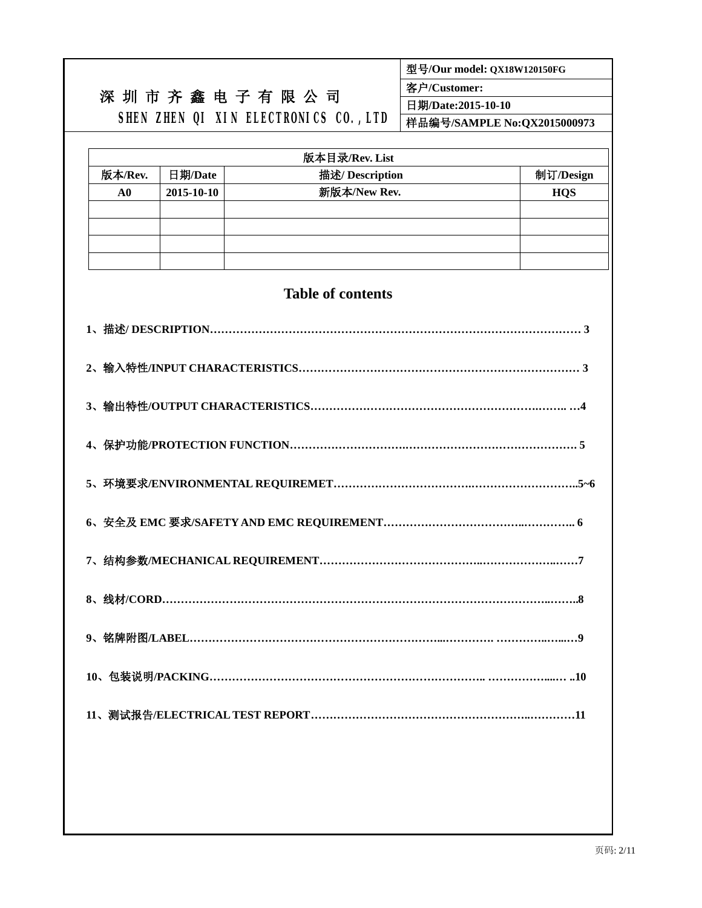|           | 型号/Our model: QX18W120150FG |                                       |                             |            |  |  |  |
|-----------|-----------------------------|---------------------------------------|-----------------------------|------------|--|--|--|
|           | 深圳市齐鑫电子有限公司                 | 客户/Customer:                          |                             |            |  |  |  |
|           |                             |                                       | 日期/Date:2015-10-10          |            |  |  |  |
|           |                             | SHEN ZHEN QI XIN ELECTRONICS CO., LTD | 样品编号/SAMPLE No:QX2015000973 |            |  |  |  |
|           |                             |                                       |                             |            |  |  |  |
|           |                             | 版本目录/Rev. List                        |                             |            |  |  |  |
| 版本/Rev.   | 日期/Date                     | 描述/ Description<br>新版本/New Rev.       |                             | 制订/Design  |  |  |  |
| $\bf{A0}$ | 2015-10-10                  |                                       |                             | <b>HQS</b> |  |  |  |
|           |                             |                                       |                             |            |  |  |  |
|           |                             |                                       |                             |            |  |  |  |
|           |                             |                                       |                             |            |  |  |  |
|           |                             |                                       |                             |            |  |  |  |
|           |                             | <b>Table of contents</b>              |                             |            |  |  |  |
|           |                             |                                       |                             |            |  |  |  |
|           |                             |                                       |                             |            |  |  |  |
|           |                             |                                       |                             |            |  |  |  |
|           |                             |                                       |                             |            |  |  |  |
|           |                             |                                       |                             |            |  |  |  |
|           |                             |                                       |                             |            |  |  |  |
|           |                             |                                       |                             |            |  |  |  |
|           |                             |                                       |                             |            |  |  |  |
|           |                             |                                       |                             |            |  |  |  |
|           |                             |                                       |                             |            |  |  |  |
|           |                             |                                       |                             |            |  |  |  |
|           |                             |                                       |                             |            |  |  |  |
|           |                             |                                       |                             |            |  |  |  |
|           |                             |                                       |                             |            |  |  |  |
|           |                             |                                       |                             |            |  |  |  |
|           |                             |                                       |                             |            |  |  |  |
|           |                             |                                       |                             |            |  |  |  |
|           |                             |                                       |                             |            |  |  |  |
|           |                             |                                       |                             |            |  |  |  |
|           |                             |                                       |                             |            |  |  |  |
|           |                             |                                       |                             |            |  |  |  |
|           |                             |                                       |                             |            |  |  |  |
|           |                             |                                       |                             |            |  |  |  |
|           |                             |                                       |                             |            |  |  |  |
|           |                             |                                       |                             |            |  |  |  |
|           |                             |                                       |                             |            |  |  |  |
|           |                             |                                       |                             |            |  |  |  |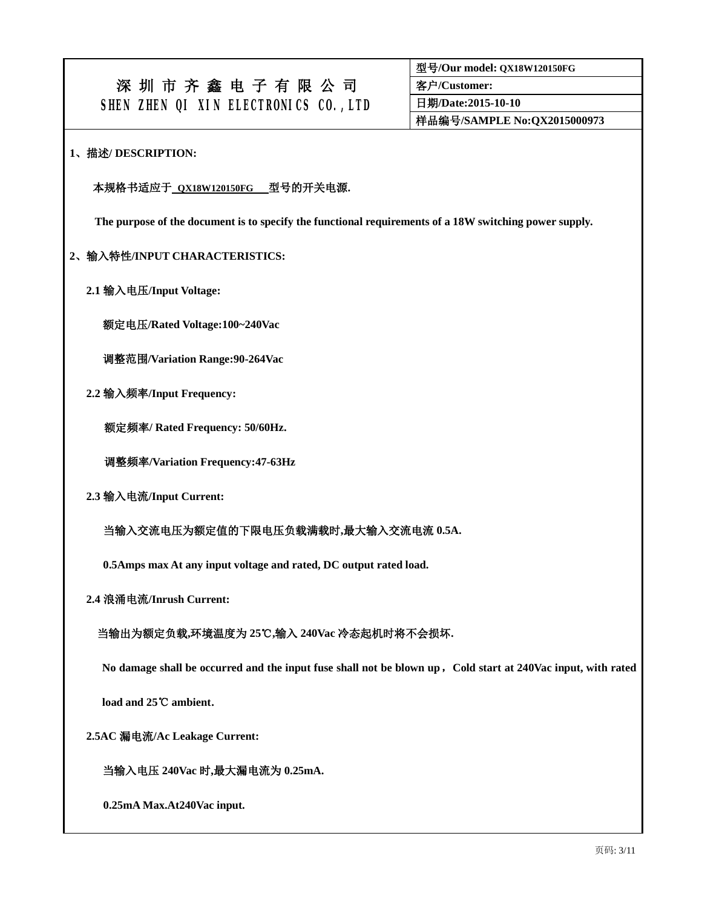**型号/Our model: QX18W120150FG 客户/Customer: 日期/Date:2015-10-10 样品编号/SAMPLE No:QX2015000973** 

#### **1、描述/ DESCRIPTION:**

#### **本规格书适应于 QX18W120150FG 型号的开关电源.**

**The purpose of the document is to specify the functional requirements of a 18W switching power supply.** 

#### **2、输入特性/INPUT CHARACTERISTICS:**

 **2.1 输入电压/Input Voltage:** 

**额定电压/Rated Voltage:100~240Vac** 

**调整范围/Variation Range:90-264Vac** 

 **2.2 输入频率/Input Frequency:** 

**额定频率/ Rated Frequency: 50/60Hz.** 

**调整频率/Variation Frequency:47-63Hz** 

 **2.3 输入电流/Input Current:** 

 **当输入交流电压为额定值的下限电压负载满载时,最大输入交流电流 0.5A.** 

**0.5Amps max At any input voltage and rated, DC output rated load.** 

 **2.4 浪涌电流/Inrush Current:** 

### **当输出为额定负载,环境温度为 25℃,输入 240Vac 冷态起机时将不会损坏.**

No damage shall be occurred and the input fuse shall not be blown up, Cold start at 240Vac input, with rated

**load and 25℃ ambient.** 

 **2.5AC 漏电流/Ac Leakage Current:** 

**当输入电压 240Vac 时,最大漏电流为 0.25mA.** 

**0.25mA Max.At240Vac input.**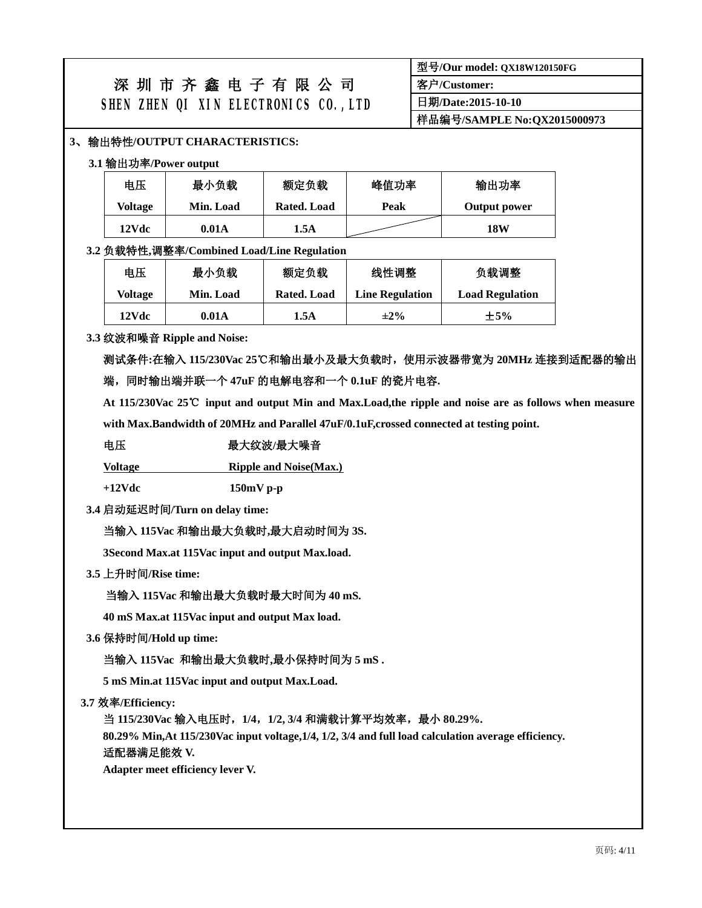| 型号/Our model: QX18W120150FG |
|-----------------------------|
| 客户/Customer:                |
| 日期/Date:2015-10-10          |
| 样品编号/SAMPLE No:QX2015000973 |

## **3、输出特性/OUTPUT CHARACTERISTICS:**

#### **3.1 输出功率/Power output**

| 电压      | 最小负载      | 额定负载        | 峰值功率 | 输出功率         |  |  |
|---------|-----------|-------------|------|--------------|--|--|
| Voltage | Min. Load | Rated. Load | Peak | Output power |  |  |
| 12Vdc   | 0.01A     | 1.5A        |      | 18W          |  |  |

#### **3.2 负载特性,调整率/Combined Load/Line Regulation**

| 电压      | 最小负载      | 额定负载 | 线性调整                   | 负载调整                   |  |  |
|---------|-----------|------|------------------------|------------------------|--|--|
| Voltage | Min. Load |      | <b>Line Regulation</b> | <b>Load Regulation</b> |  |  |
| 12Vdc   | 0.01A     | 1.5A | $\pm 2\%$              | $\pm$ 5%               |  |  |

#### **3.3 纹波和噪音 Ripple and Noise:**

**测试条件:在输入 115/230Vac 25℃和输出最小及最大负载时,使用示波器带宽为 20MHz 连接到适配器的输出 端,同时输出端并联一个 47uF 的电解电容和一个 0.1uF 的瓷片电容.** 

At 115/230Vac 25°C input and output Min and Max.Load, the ripple and noise are as follows when measure

**with Max.Bandwidth of 20MHz and Parallel 47uF/0.1uF,crossed connected at testing point.** 

## **电压 最大纹波/最大噪音**

**Voltage Ripple and Noise(Max.)**

**+12Vdc 150mV p-p** 

**3.4 启动延迟时间/Turn on delay time:** 

### **当输入 115Vac 和输出最大负载时,最大启动时间为 3S.**

 **3Second Max.at 115Vac input and output Max.load.** 

### **3.5 上升时间/Rise time:**

### **当输入 115Vac 和输出最大负载时最大时间为 40 mS.**

 **40 mS Max.at 115Vac input and output Max load.** 

**3.6 保持时间/Hold up time:** 

 **当输入 115Vac 和输出最大负载时,最小保持时间为 5 mS .** 

 **5 mS Min.at 115Vac input and output Max.Load.** 

 **3.7 效率/Efficiency:** 

 **当 115/230Vac 输入电压时,1/4,1/2, 3/4 和满载计算平均效率,最小 80.29%.** 

**80.29% Min,At 115/230Vac input voltage,1/4, 1/2, 3/4 and full load calculation average efficiency.** 

#### **适配器满足能效 V.**

 **Adapter meet efficiency lever V.**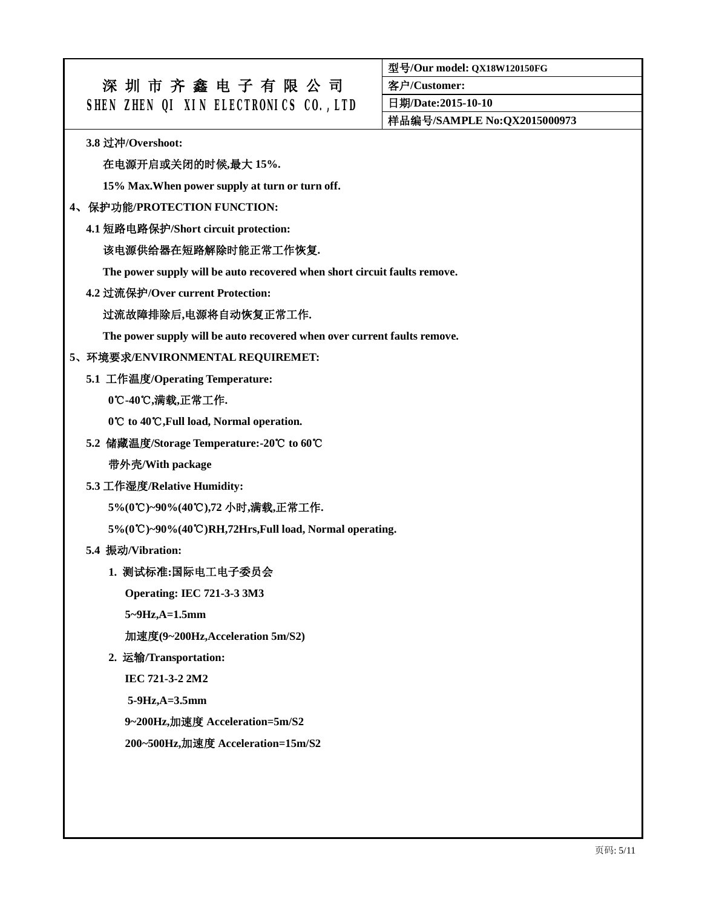**型号/Our model: QX18W120150FG** 

**客户/Customer:** 

**日期/Date:2015-10-10** 

**样品编号/SAMPLE No:QX2015000973** 

**3.8 过冲/Overshoot:** 

## **在电源开启或关闭的时候,最大 15%.**

**15% Max.When power supply at turn or turn off.** 

### **4、保护功能/PROTECTION FUNCTION:**

**4.1 短路电路保护/Short circuit protection:** 

## **该电源供给器在短路解除时能正常工作恢复.**

**The power supply will be auto recovered when short circuit faults remove.** 

**4.2 过流保护/Over current Protection:** 

## **过流故障排除后,电源将自动恢复正常工作.**

**The power supply will be auto recovered when over current faults remove.** 

## **5、环境要求/ENVIRONMENTAL REQUIREMET:**

**5.1 工作温度/Operating Temperature:** 

## **0℃-40 , ℃ 满载,正常工作.**

**0 ℃ to 40℃,Full load, Normal operation.**

**5.2 储藏温度/Storage Temperature:-20℃ to 60℃**

**带外壳/With package** 

**5.3 工作湿度/Relative Humidity:** 

**5%(0℃ ℃ )~90%(40 ),72 小时,满载,正常工作.** 

**5%(0℃ ℃ )~90%(40 )RH,72Hrs,Full load, Normal operating.**

**5.4 振动/Vibration:** 

### **1. 测试标准:国际电工电子委员会**

**Operating: IEC 721-3-3 3M3** 

**5~9Hz,A=1.5mm** 

**加速度(9~200Hz,Acceleration 5m/S2)** 

**2. 运输/Transportation:** 

**IEC 721-3-2 2M2** 

**5-9Hz,A=3.5mm** 

**9~200Hz,加速度 Acceleration=5m/S2** 

**200~500Hz,加速度 Acceleration=15m/S2**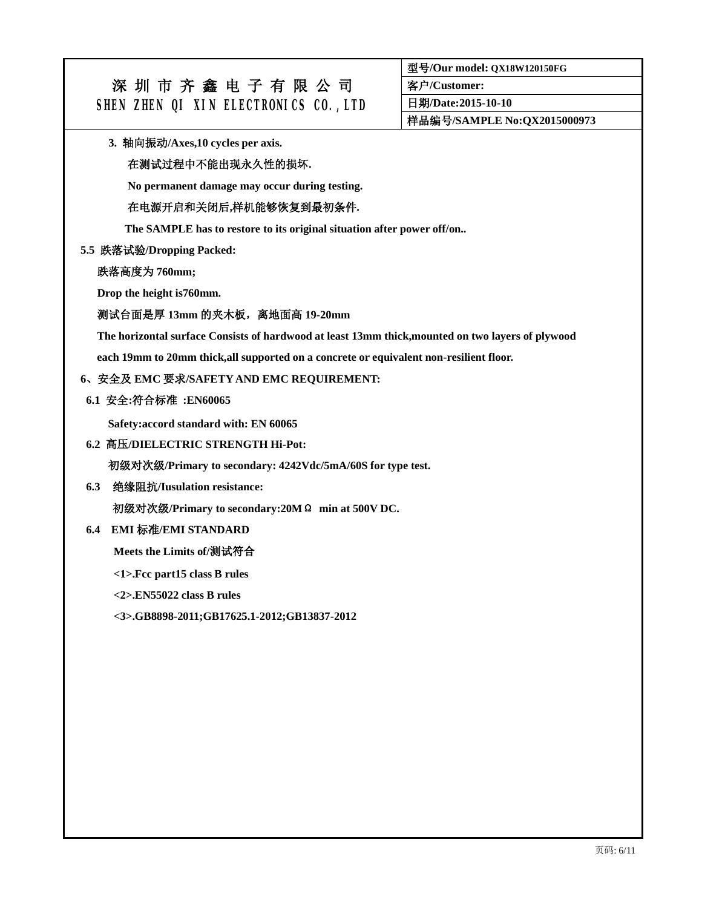**型号/Our model: QX18W120150FG** 

**客户/Customer:** 

**日期/Date:2015-10-10** 

**样品编号/SAMPLE No:QX2015000973** 

**3. 轴向振动/Axes,10 cycles per axis.** 

### **在测试过程中不能出现永久性的损坏.**

**No permanent damage may occur during testing.** 

#### **在电源开启和关闭后,样机能够恢复到最初条件.**

**The SAMPLE has to restore to its original situation after power off/on..** 

#### **5.5 跌落试验/Dropping Packed:**

**跌落高度为 760mm;** 

**Drop the height is760mm.** 

#### **测试台面是厚 13mm 的夹木板,离地面高 19-20mm**

**The horizontal surface Consists of hardwood at least 13mm thick,mounted on two layers of plywood** 

**each 19mm to 20mm thick,all supported on a concrete or equivalent non-resilient floor.** 

#### **6、安全及 EMC 要求/SAFETY AND EMC REQUIREMENT:**

#### **6.1 安全:符合标准 :EN60065**

**Safety:accord standard with: EN 60065** 

#### **6.2 高压/DIELECTRIC STRENGTH Hi-Pot:**

**初级对次级/Primary to secondary: 4242Vdc/5mA/60S for type test.** 

**6.3 绝缘阻抗/Iusulation resistance:** 

**初级对次级/Primary to secondary:20MΩ min at 500V DC.** 

## **6.4 EMI 标准/EMI STANDARD**

**Meets the Limits of/测试符合**

**<1>.Fcc part15 class B rules** 

**<2>.EN55022 class B rules** 

**<3>.GB8898-2011;GB17625.1-2012;GB13837-2012**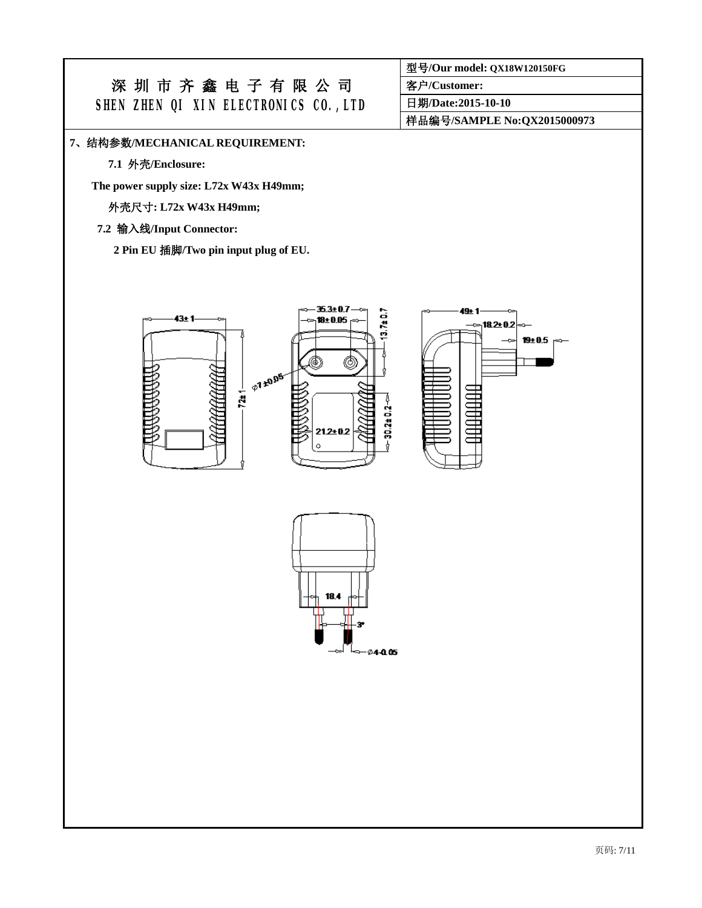**型号/Our model: QX18W120150FG** 

**客户/Customer:** 

**日期/Date:2015-10-10** 

**样品编号/SAMPLE No:QX2015000973** 

#### **7、结构参数/MECHANICAL REQUIREMENT:**

**7.1 外壳/Enclosure:** 

**The power supply size: L72x W43x H49mm;** 

**外壳尺寸: L72x W43x H49mm;** 

## **7.2 输入线/Input Connector:**

**2 Pin EU 插脚/Two pin input plug of EU.** 





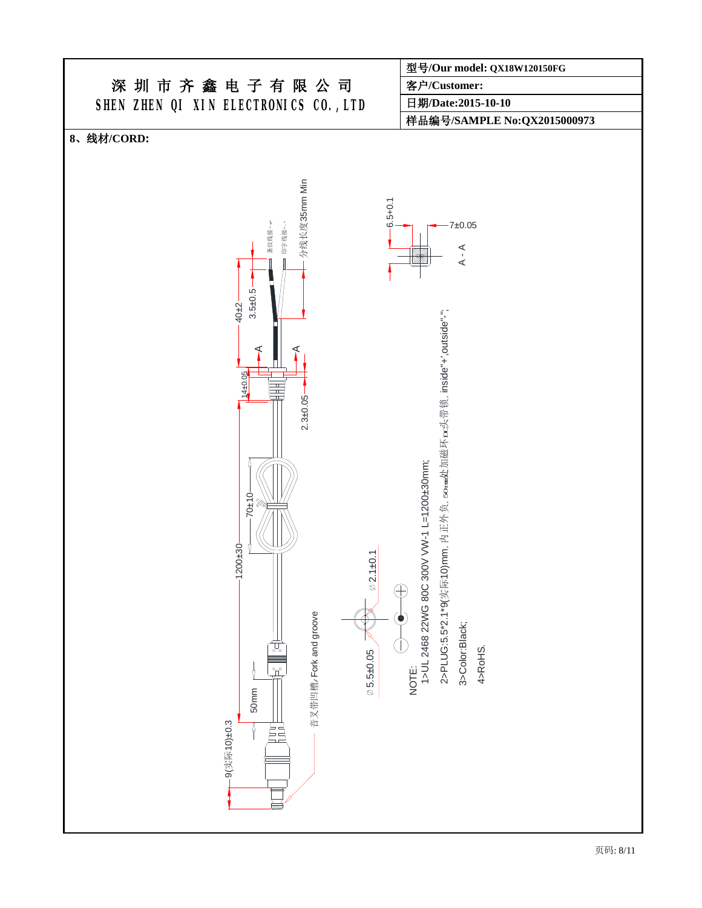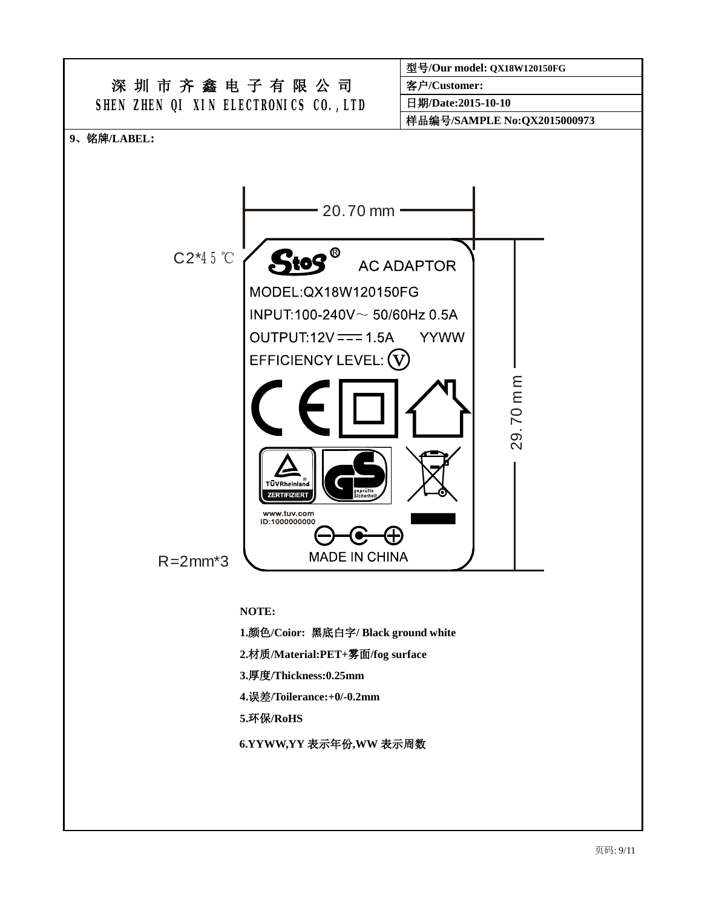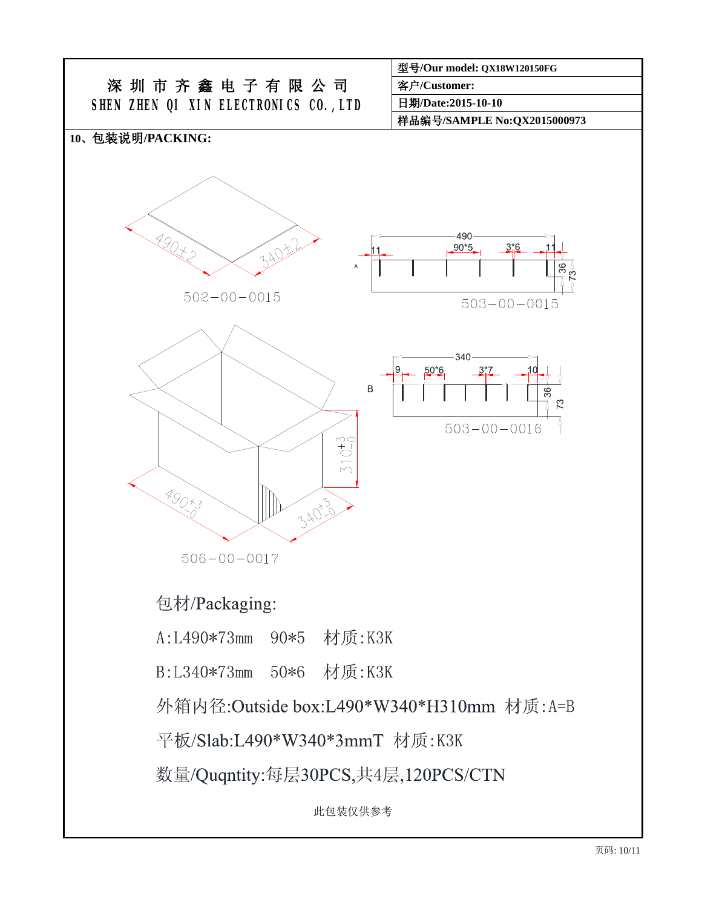